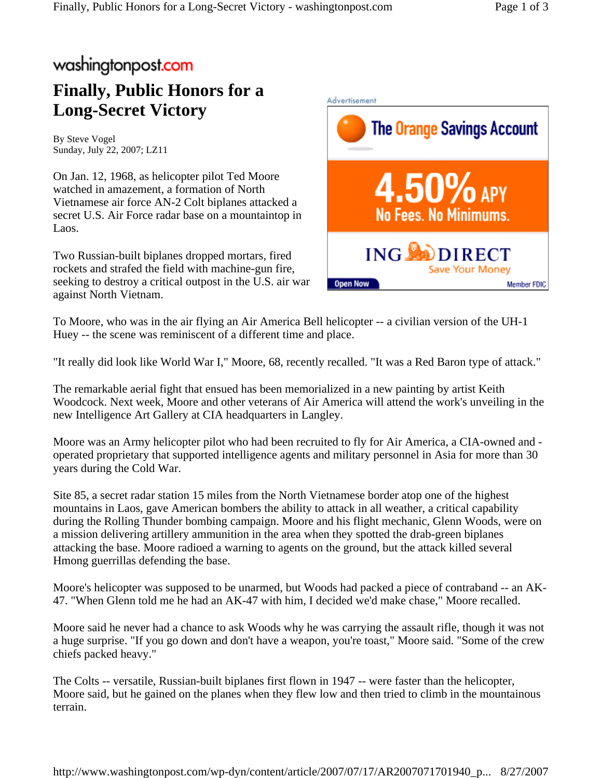## washingtonpost.com

## **Finally, Public Honors for a Long-Secret Victory**

By Steve Vogel Sunday, July 22, 2007; LZ11

On Jan. 12, 1968, as helicopter pilot Ted Moore watched in amazement, a formation of North Vietnamese air force AN-2 Colt biplanes attacked a secret U.S. Air Force radar base on a mountaintop in Laos.

Two Russian-built biplanes dropped mortars, fired rockets and strafed the field with machine-gun fire, seeking to destroy a critical outpost in the U.S. air war against North Vietnam.



To Moore, who was in the air flying an Air America Bell helicopter -- a civilian version of the UH-1 Huey -- the scene was reminiscent of a different time and place.

"It really did look like World War I," Moore, 68, recently recalled. "It was a Red Baron type of attack."

The remarkable aerial fight that ensued has been memorialized in a new painting by artist Keith Woodcock. Next week, Moore and other veterans of Air America will attend the work's unveiling in the new Intelligence Art Gallery at CIA headquarters in Langley.

Moore was an Army helicopter pilot who had been recruited to fly for Air America, a CIA-owned and operated proprietary that supported intelligence agents and military personnel in Asia for more than 30 years during the Cold War.

Site 85, a secret radar station 15 miles from the North Vietnamese border atop one of the highest mountains in Laos, gave American bombers the ability to attack in all weather, a critical capability during the Rolling Thunder bombing campaign. Moore and his flight mechanic, Glenn Woods, were on a mission delivering artillery ammunition in the area when they spotted the drab-green biplanes attacking the base. Moore radioed a warning to agents on the ground, but the attack killed several Hmong guerrillas defending the base.

Moore's helicopter was supposed to be unarmed, but Woods had packed a piece of contraband -- an AK-47. "When Glenn told me he had an AK-47 with him, I decided we'd make chase," Moore recalled.

Moore said he never had a chance to ask Woods why he was carrying the assault rifle, though it was not a huge surprise. "If you go down and don't have a weapon, you're toast," Moore said. "Some of the crew chiefs packed heavy."

The Colts -- versatile, Russian-built biplanes first flown in 1947 -- were faster than the helicopter, Moore said, but he gained on the planes when they flew low and then tried to climb in the mountainous terrain.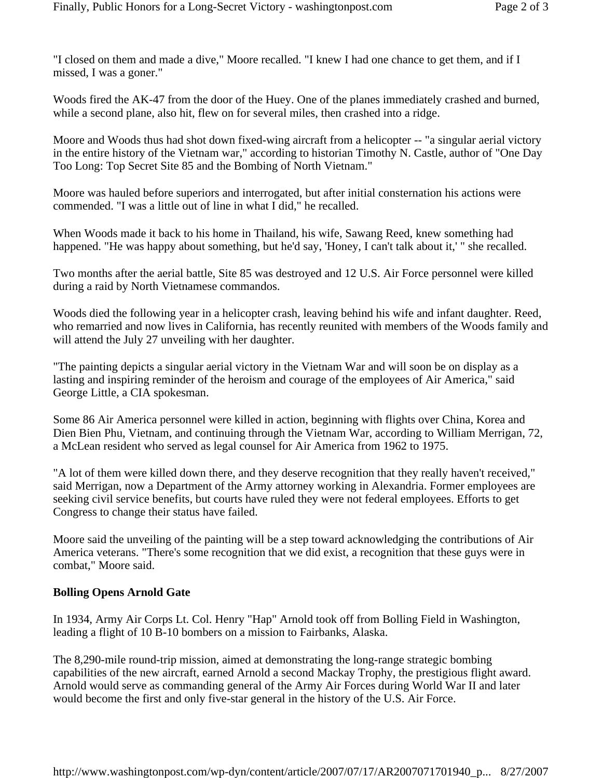"I closed on them and made a dive," Moore recalled. "I knew I had one chance to get them, and if I missed, I was a goner."

Woods fired the AK-47 from the door of the Huey. One of the planes immediately crashed and burned, while a second plane, also hit, flew on for several miles, then crashed into a ridge.

Moore and Woods thus had shot down fixed-wing aircraft from a helicopter -- "a singular aerial victory in the entire history of the Vietnam war," according to historian Timothy N. Castle, author of "One Day Too Long: Top Secret Site 85 and the Bombing of North Vietnam."

Moore was hauled before superiors and interrogated, but after initial consternation his actions were commended. "I was a little out of line in what I did," he recalled.

When Woods made it back to his home in Thailand, his wife, Sawang Reed, knew something had happened. "He was happy about something, but he'd say, 'Honey, I can't talk about it,' " she recalled.

Two months after the aerial battle, Site 85 was destroyed and 12 U.S. Air Force personnel were killed during a raid by North Vietnamese commandos.

Woods died the following year in a helicopter crash, leaving behind his wife and infant daughter. Reed, who remarried and now lives in California, has recently reunited with members of the Woods family and will attend the July 27 unveiling with her daughter.

"The painting depicts a singular aerial victory in the Vietnam War and will soon be on display as a lasting and inspiring reminder of the heroism and courage of the employees of Air America," said George Little, a CIA spokesman.

Some 86 Air America personnel were killed in action, beginning with flights over China, Korea and Dien Bien Phu, Vietnam, and continuing through the Vietnam War, according to William Merrigan, 72, a McLean resident who served as legal counsel for Air America from 1962 to 1975.

"A lot of them were killed down there, and they deserve recognition that they really haven't received," said Merrigan, now a Department of the Army attorney working in Alexandria. Former employees are seeking civil service benefits, but courts have ruled they were not federal employees. Efforts to get Congress to change their status have failed.

Moore said the unveiling of the painting will be a step toward acknowledging the contributions of Air America veterans. "There's some recognition that we did exist, a recognition that these guys were in combat," Moore said.

## **Bolling Opens Arnold Gate**

In 1934, Army Air Corps Lt. Col. Henry "Hap" Arnold took off from Bolling Field in Washington, leading a flight of 10 B-10 bombers on a mission to Fairbanks, Alaska.

The 8,290-mile round-trip mission, aimed at demonstrating the long-range strategic bombing capabilities of the new aircraft, earned Arnold a second Mackay Trophy, the prestigious flight award. Arnold would serve as commanding general of the Army Air Forces during World War II and later would become the first and only five-star general in the history of the U.S. Air Force.